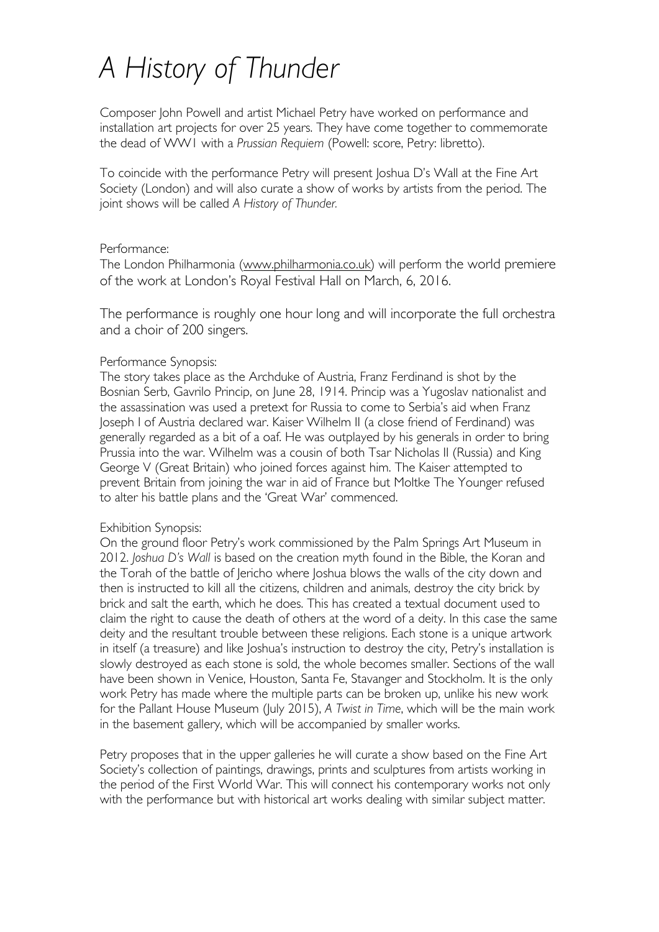# *A History of Thunder*

Composer John Powell and artist Michael Petry have worked on performance and installation art projects for over 25 years. They have come together to commemorate the dead of WW1 with a *Prussian Requiem* (Powell: score, Petry: libretto).

To coincide with the performance Petry will present Joshua D's Wall at the Fine Art Society (London) and will also curate a show of works by artists from the period. The joint shows will be called *A History of Thunder.*

## Performance:

The London Philharmonia (www.philharmonia.co.uk) will perform the world premiere of the work at London's Royal Festival Hall on March, 6, 2016.

The performance is roughly one hour long and will incorporate the full orchestra and a choir of 200 singers.

## Performance Synopsis:

The story takes place as the Archduke of Austria, Franz Ferdinand is shot by the Bosnian Serb, Gavrilo Princip, on June 28, 1914. Princip was a Yugoslav nationalist and the assassination was used a pretext for Russia to come to Serbia's aid when Franz Joseph I of Austria declared war. Kaiser Wilhelm II (a close friend of Ferdinand) was generally regarded as a bit of a oaf. He was outplayed by his generals in order to bring Prussia into the war. Wilhelm was a cousin of both Tsar Nicholas II (Russia) and King George V (Great Britain) who joined forces against him. The Kaiser attempted to prevent Britain from joining the war in aid of France but Moltke The Younger refused to alter his battle plans and the 'Great War' commenced.

# Exhibition Synopsis:

On the ground floor Petry's work commissioned by the Palm Springs Art Museum in 2012. *Joshua D's Wall* is based on the creation myth found in the Bible, the Koran and the Torah of the battle of Jericho where Joshua blows the walls of the city down and then is instructed to kill all the citizens, children and animals, destroy the city brick by brick and salt the earth, which he does. This has created a textual document used to claim the right to cause the death of others at the word of a deity. In this case the same deity and the resultant trouble between these religions. Each stone is a unique artwork in itself (a treasure) and like Joshua's instruction to destroy the city, Petry's installation is slowly destroyed as each stone is sold, the whole becomes smaller. Sections of the wall have been shown in Venice, Houston, Santa Fe, Stavanger and Stockholm. It is the only work Petry has made where the multiple parts can be broken up, unlike his new work for the Pallant House Museum (July 2015), *A Twist in Time*, which will be the main work in the basement gallery, which will be accompanied by smaller works.

Petry proposes that in the upper galleries he will curate a show based on the Fine Art Society's collection of paintings, drawings, prints and sculptures from artists working in the period of the First World War. This will connect his contemporary works not only with the performance but with historical art works dealing with similar subject matter.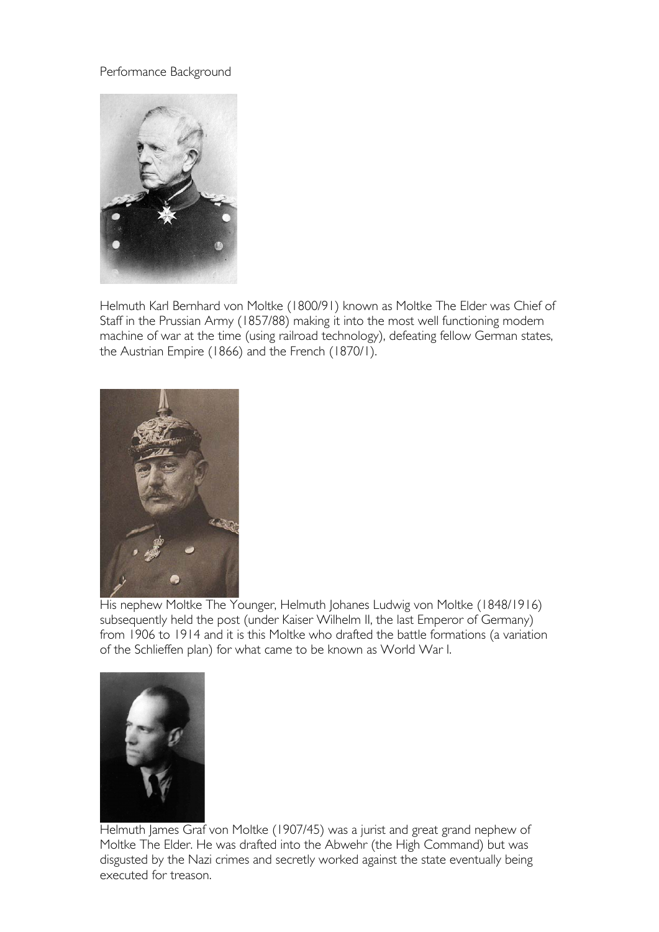## Performance Background



Helmuth Karl Bernhard von Moltke (1800/91) known as Moltke The Elder was Chief of Staff in the Prussian Army (1857/88) making it into the most well functioning modern machine of war at the time (using railroad technology), defeating fellow German states, the Austrian Empire (1866) and the French (1870/1).



His nephew Moltke The Younger, Helmuth Johanes Ludwig von Moltke (1848/1916) subsequently held the post (under Kaiser Wilhelm II, the last Emperor of Germany) from 1906 to 1914 and it is this Moltke who drafted the battle formations (a variation of the Schlieffen plan) for what came to be known as World War I.



Helmuth James Graf von Moltke (1907/45) was a jurist and great grand nephew of Moltke The Elder. He was drafted into the Abwehr (the High Command) but was disgusted by the Nazi crimes and secretly worked against the state eventually being executed for treason.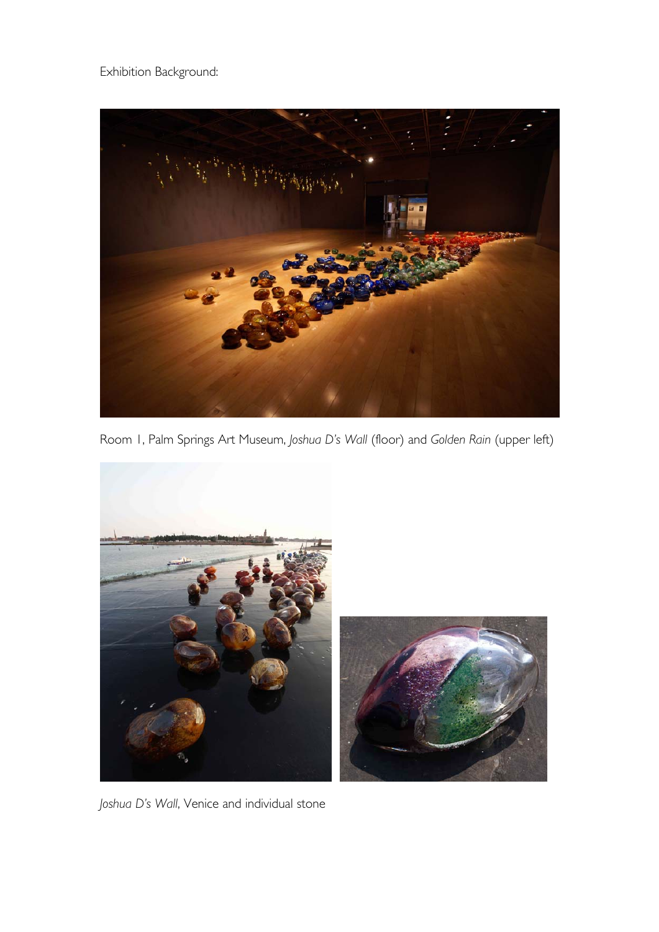Exhibition Background:



Room 1, Palm Springs Art Museum, *Joshua D's Wall* (floor) and *Golden Rain* (upper left)





*Joshua D's Wall*, Venice and individual stone